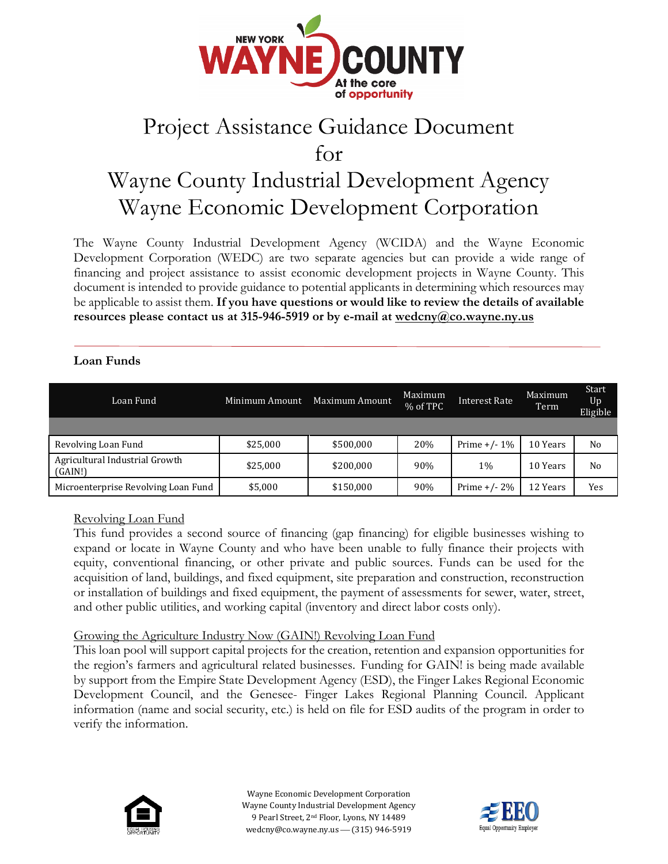

## Project Assistance Guidance Document

for

# Wayne County Industrial Development Agency Wayne Economic Development Corporation

The Wayne County Industrial Development Agency (WCIDA) and the Wayne Economic Development Corporation (WEDC) are two separate agencies but can provide a wide range of financing and project assistance to assist economic development projects in Wayne County. This document is intended to provide guidance to potential applicants in determining which resources may be applicable to assist them. **If you have questions or would like to review the details of available resources please contact us at 315-946-5919 or by e-mail at wedcny@co.wayne.ny.us**

#### **Loan Funds**

| Loan Fund                                 | Minimum Amount | Maximum Amount | Maximum<br>% of TPC | Interest Rate   | Maximum<br>Term | Start<br>Up<br>Eligible |
|-------------------------------------------|----------------|----------------|---------------------|-----------------|-----------------|-------------------------|
|                                           |                |                |                     |                 |                 |                         |
| Revolving Loan Fund                       | \$25,000       | \$500,000      | 20%                 | Prime $+/- 1\%$ | 10 Years        | No                      |
| Agricultural Industrial Growth<br>(GAIN!) | \$25,000       | \$200,000      | 90%                 | 1%              | 10 Years        | N <sub>0</sub>          |
| Microenterprise Revolving Loan Fund       | \$5,000        | \$150,000      | 90%                 | Prime $+/- 2\%$ | 12 Years        | Yes                     |

Revolving Loan Fund

This fund provides a second source of financing (gap financing) for eligible businesses wishing to expand or locate in Wayne County and who have been unable to fully finance their projects with equity, conventional financing, or other private and public sources. Funds can be used for the acquisition of land, buildings, and fixed equipment, site preparation and construction, reconstruction or installation of buildings and fixed equipment, the payment of assessments for sewer, water, street, and other public utilities, and working capital (inventory and direct labor costs only).

#### Growing the Agriculture Industry Now (GAIN!) Revolving Loan Fund

This loan pool will support capital projects for the creation, retention and expansion opportunities for the region's farmers and agricultural related businesses. Funding for GAIN! is being made available by support from the Empire State Development Agency (ESD), the Finger Lakes Regional Economic Development Council, and the Genesee- Finger Lakes Regional Planning Council. Applicant information (name and social security, etc.) is held on file for ESD audits of the program in order to verify the information.



Wayne Economic Development Corporation Wayne County Industrial Development Agency 9 Pearl Street, 2nd Floor, Lyons, NY 14489 wedcny@co.wayne.ny.us - (315) 946-5919

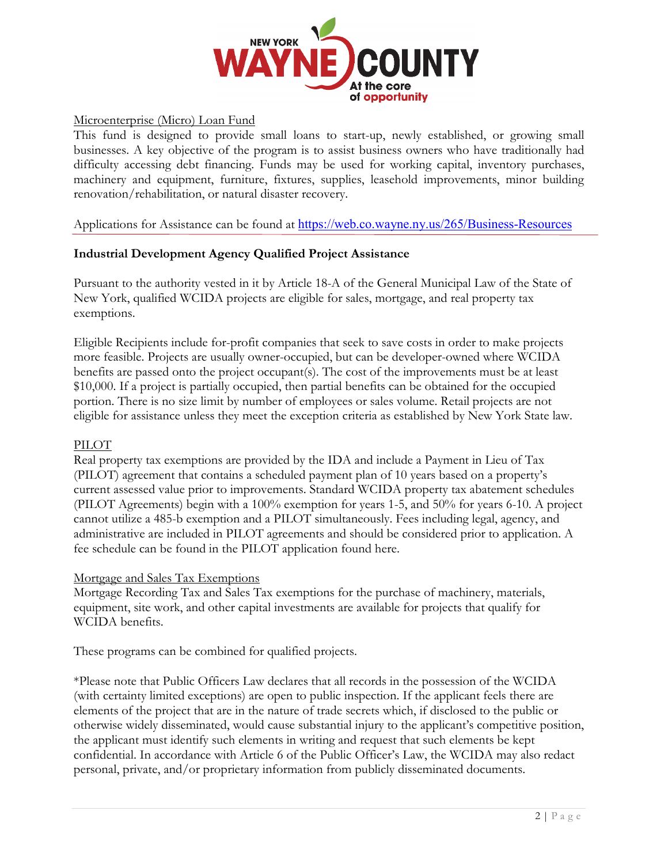

#### Microenterprise (Micro) Loan Fund

This fund is designed to provide small loans to start-up, newly established, or growing small businesses. A key objective of the program is to assist business owners who have traditionally had difficulty accessing debt financing. Funds may be used for working capital, inventory purchases, machinery and equipment, furniture, fixtures, supplies, leasehold improvements, minor building renovation/rehabilitation, or natural disaster recovery.

Applications for Assistance can be found at <https://web.co.wayne.ny.us/265/Business-Resources>

#### **Industrial Development Agency Qualified Project Assistance**

Pursuant to the authority vested in it by Article 18-A of the General Municipal Law of the State of New York, qualified WCIDA projects are eligible for sales, mortgage, and real property tax exemptions.

Eligible Recipients include for-profit companies that seek to save costs in order to make projects more feasible. Projects are usually owner-occupied, but can be developer-owned where WCIDA benefits are passed onto the project occupant(s). The cost of the improvements must be at least \$10,000. If a project is partially occupied, then partial benefits can be obtained for the occupied portion. There is no size limit by number of employees or sales volume. Retail projects are not eligible for assistance unless they meet the exception criteria as established by New York State law.

#### PILOT

Real property tax exemptions are provided by the IDA and include a Payment in Lieu of Tax (PILOT) agreement that contains a scheduled payment plan of 10 years based on a property's current assessed value prior to improvements. Standard WCIDA property tax abatement schedules (PILOT Agreements) begin with a 100% exemption for years 1-5, and 50% for years 6-10. A project cannot utilize a 485-b exemption and a PILOT simultaneously. Fees including legal, agency, and administrative are included in PILOT agreements and should be considered prior to application. A fee schedule can be found in the PILOT application found here.

#### Mortgage and Sales Tax Exemptions

Mortgage Recording Tax and Sales Tax exemptions for the purchase of machinery, materials, equipment, site work, and other capital investments are available for projects that qualify for WCIDA benefits.

These programs can be combined for qualified projects.

\*Please note that Public Officers Law declares that all records in the possession of the WCIDA (with certainty limited exceptions) are open to public inspection. If the applicant feels there are elements of the project that are in the nature of trade secrets which, if disclosed to the public or otherwise widely disseminated, would cause substantial injury to the applicant's competitive position, the applicant must identify such elements in writing and request that such elements be kept confidential. In accordance with Article 6 of the Public Officer's Law, the WCIDA may also redact personal, private, and/or proprietary information from publicly disseminated documents.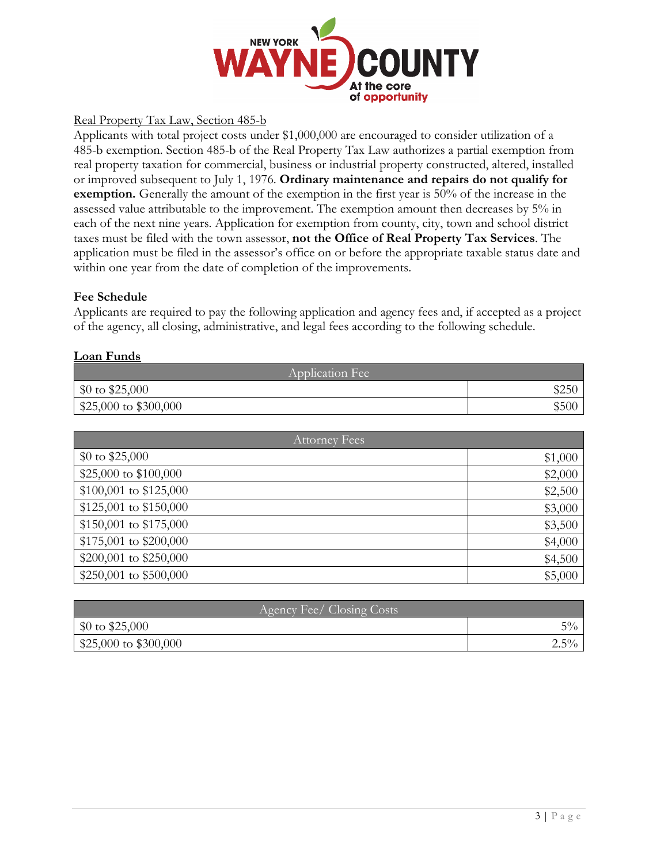

#### Real Property Tax Law, Section 485-b

Applicants with total project costs under \$1,000,000 are encouraged to consider utilization of a 485-b exemption. Section 485-b of the Real Property Tax Law authorizes a partial exemption from real property taxation for commercial, business or industrial property constructed, altered, installed or improved subsequent to July 1, 1976. **Ordinary maintenance and repairs do not qualify for exemption.** Generally the amount of the exemption in the first year is 50% of the increase in the assessed value attributable to the improvement. The exemption amount then decreases by 5% in each of the next nine years. Application for exemption from county, city, town and school district taxes must be filed with the town assessor, **not the Office of Real Property Tax Services**. The application must be filed in the assessor's office on or before the appropriate taxable status date and within one year from the date of completion of the improvements.

#### **Fee Schedule**

Applicants are required to pay the following application and agency fees and, if accepted as a project of the agency, all closing, administrative, and legal fees according to the following schedule.

#### **Loan Funds**

| Application Fee                  |      |  |
|----------------------------------|------|--|
| $$0 \text{ to } $25,000$         |      |  |
| $\frac{$25,000}{0}$ to \$300,000 | .SOU |  |

| Attorney Fees            |         |
|--------------------------|---------|
| $$0 \text{ to } $25,000$ | \$1,000 |
| \$25,000 to \$100,000    | \$2,000 |
| $$100,001$ to $$125,000$ | \$2,500 |
| $$125,001$ to $$150,000$ | \$3,000 |
| $$150,001$ to $$175,000$ | \$3,500 |
| \$175,001 to \$200,000   | \$4,000 |
| $$200,001$ to $$250,000$ | \$4,500 |
| $$250,001$ to $$500,000$ | \$5,000 |

| Agency Fee/Closing Costs       |         |
|--------------------------------|---------|
| \$0 to $$25,000$               | $5\%$   |
| $$25,000 \text{ to } $300,000$ | $2.5\%$ |